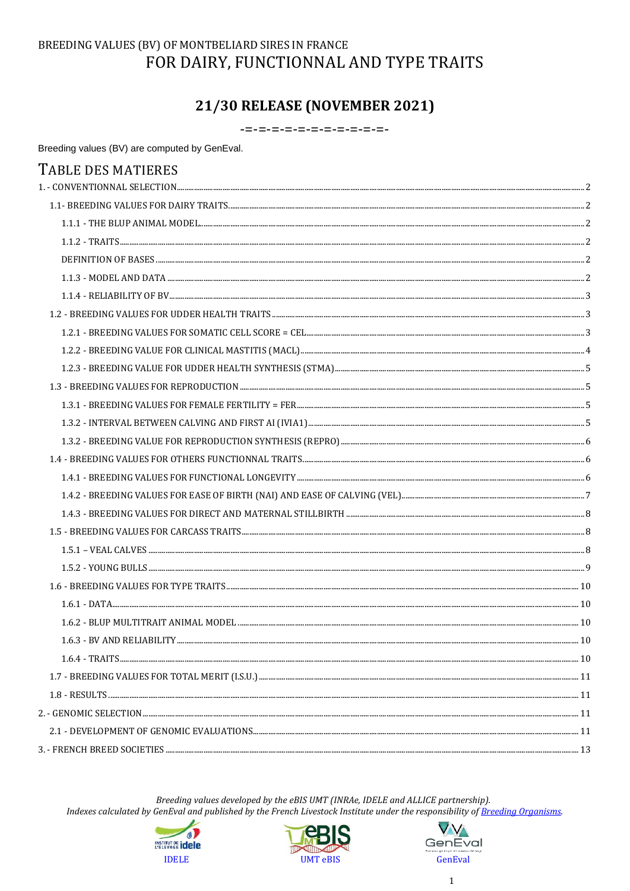## BREEDING VALUES (BV) OF MONTBELIARD SIRES IN FRANCE FOR DAIRY, FUNCTIONNAL AND TYPE TRAITS

## 21/30 RELEASE (NOVEMBER 2021)

-=-=-=-=-=-=-=-=-=-=-

Breeding values (BV) are computed by GenEval.

| TABLE DES MATIERES |  |
|--------------------|--|
|                    |  |
|                    |  |
|                    |  |
|                    |  |
|                    |  |
|                    |  |
|                    |  |
|                    |  |
|                    |  |
|                    |  |
|                    |  |
|                    |  |
|                    |  |
|                    |  |
|                    |  |
|                    |  |
|                    |  |
|                    |  |
|                    |  |
|                    |  |
|                    |  |
|                    |  |
|                    |  |
|                    |  |
|                    |  |
|                    |  |
|                    |  |
|                    |  |
|                    |  |
|                    |  |
|                    |  |
|                    |  |

Breeding values developed by the eBIS UMT (INRAe, IDELE and ALLICE partnership).





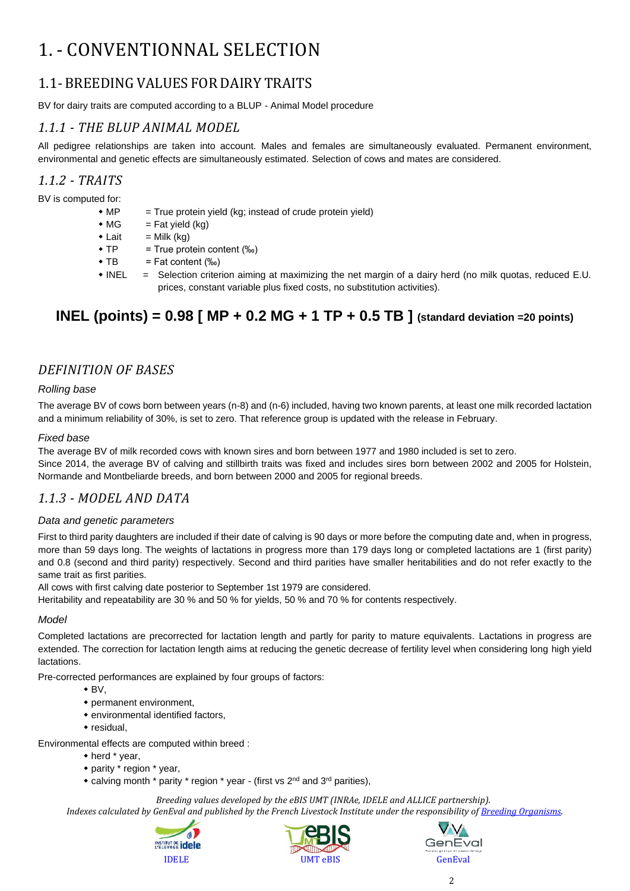# <span id="page-1-0"></span>1. - CONVENTIONNAL SELECTION

## <span id="page-1-1"></span>1.1- BREEDING VALUES FOR DAIRY TRAITS

BV for dairy traits are computed according to a BLUP - Animal Model procedure

### <span id="page-1-2"></span>*1.1.1 - THE BLUP ANIMAL MODEL*

All pedigree relationships are taken into account. Males and females are simultaneously evaluated. Permanent environment, environmental and genetic effects are simultaneously estimated. Selection of cows and mates are considered.

### <span id="page-1-3"></span>*1.1.2 - TRAITS*

BV is computed for:

- $M^*$  = True protein yield (kg; instead of crude protein yield)
- $\bullet$  MG = Fat yield (kg)
- $\bullet$  Lait = Milk (kg)
- $\text{\textbullet}$  TP = True protein content (‰)
- $\bullet$  TB = Fat content  $(\%_0)$
- INEL = Selection criterion aiming at maximizing the net margin of a dairy herd (no milk quotas, reduced E.U. prices, constant variable plus fixed costs, no substitution activities).

## **INEL (points) = 0.98 [ MP + 0.2 MG + 1 TP + 0.5 TB ] (standard deviation =20 points)**

## <span id="page-1-4"></span>*DEFINITION OF BASES*

#### *Rolling base*

The average BV of cows born between years (n-8) and (n-6) included, having two known parents, at least one milk recorded lactation and a minimum reliability of 30%, is set to zero. That reference group is updated with the release in February.

#### *Fixed base*

The average BV of milk recorded cows with known sires and born between 1977 and 1980 included is set to zero.

Since 2014, the average BV of calving and stillbirth traits was fixed and includes sires born between 2002 and 2005 for Holstein, Normande and Montbeliarde breeds, and born between 2000 and 2005 for regional breeds.

### <span id="page-1-5"></span>*1.1.3 - MODEL AND DATA*

#### *Data and genetic parameters*

First to third parity daughters are included if their date of calving is 90 days or more before the computing date and, when in progress, more than 59 days long. The weights of lactations in progress more than 179 days long or completed lactations are 1 (first parity) and 0.8 (second and third parity) respectively. Second and third parities have smaller heritabilities and do not refer exactly to the same trait as first parities.

All cows with first calving date posterior to September 1st 1979 are considered.

Heritability and repeatability are 30 % and 50 % for yields, 50 % and 70 % for contents respectively.

#### *Model*

Completed lactations are precorrected for lactation length and partly for parity to mature equivalents. Lactations in progress are extended. The correction for lactation length aims at reducing the genetic decrease of fertility level when considering long high yield lactations.

Pre-corrected performances are explained by four groups of factors:

- $\bullet$  BV,
- permanent environment,
- environmental identified factors,
- residual,

Environmental effects are computed within breed :

- herd \* year,
- parity \* region \* year,
- calving month \* parity \* region \* year (first vs 2<sup>nd</sup> and 3<sup>rd</sup> parities),

*Breeding values developed by the eBIS UMT (INRAe, IDELE and ALLICE partnership).*





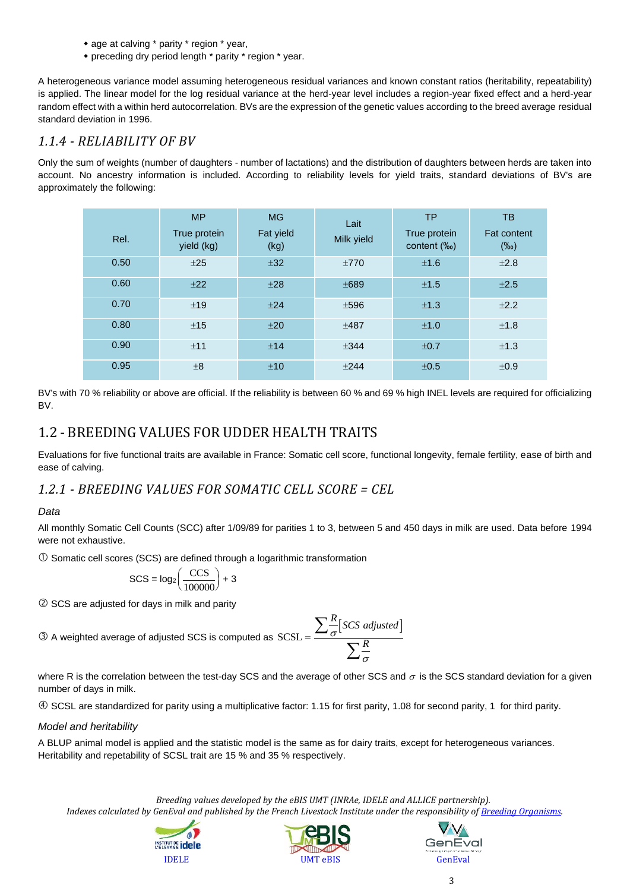- age at calving \* parity \* region \* year,
- preceding dry period length \* parity \* region \* year.

A heterogeneous variance model assuming heterogeneous residual variances and known constant ratios (heritability, repeatability) is applied. The linear model for the log residual variance at the herd-year level includes a region-year fixed effect and a herd-year random effect with a within herd autocorrelation. BVs are the expression of the genetic values according to the breed average residual standard deviation in 1996.

### <span id="page-2-0"></span>*1.1.4 - RELIABILITY OF BV*

Only the sum of weights (number of daughters - number of lactations) and the distribution of daughters between herds are taken into account. No ancestry information is included. According to reliability levels for yield traits, standard deviations of BV's are approximately the following:

| Rel. | <b>MP</b><br>True protein<br>yield (kg) | <b>MG</b><br>Fat yield<br>(kg) | Lait<br>Milk yield | <b>TP</b><br>True protein<br>content (‰) | TB<br><b>Fat content</b><br>$(\%circ)$ |
|------|-----------------------------------------|--------------------------------|--------------------|------------------------------------------|----------------------------------------|
| 0.50 | ±25                                     | ±32                            | ±770               | ±1.6                                     | ±2.8                                   |
| 0.60 | $+22$                                   | ±28                            | ±689               | ±1.5                                     | ±2.5                                   |
| 0.70 | ±19                                     | $+24$                          | ±596               | ±1.3                                     | $+2.2$                                 |
| 0.80 | ±15                                     | ±20                            | ±487               | ±1.0                                     | ±1.8                                   |
| 0.90 | ±11                                     | ±14                            | $+344$             | ±0.7                                     | ±1.3                                   |
| 0.95 | $\pm 8$                                 | ±10                            | $+244$             | ±0.5                                     | ±0.9                                   |

BV's with 70 % reliability or above are official. If the reliability is between 60 % and 69 % high INEL levels are required for officializing BV.

## <span id="page-2-1"></span>1.2 - BREEDING VALUES FOR UDDER HEALTH TRAITS

Evaluations for five functional traits are available in France: Somatic cell score, functional longevity, female fertility, ease of birth and ease of calving.

<span id="page-2-2"></span>*1.2.1 - BREEDING VALUES FOR SOMATIC CELL SCORE = CEL*

#### *Data*

All monthly Somatic Cell Counts (SCC) after 1/09/89 for parities 1 to 3, between 5 and 450 days in milk are used. Data before 1994 were not exhaustive.

 $\Omega$  Somatic cell scores (SCS) are defined through a logarithmic transformation

$$
SCS = \log_2\left(\frac{CCS}{100000}\right) + 3
$$

2 SCS are adjusted for days in milk and parity

 $\textcircled{3}$  A weighted average of adjusted SCS is computed as  $SCSL =$ 

$$
\frac{\sum_{\sigma}^{R} [SCS \text{ adjusted}]}{\sum_{\sigma}^{R}}
$$

where R is the correlation between the test-day SCS and the average of other SCS and  $\sigma$  is the SCS standard deviation for a given number of days in milk.

SCSL are standardized for parity using a multiplicative factor: 1.15 for first parity, 1.08 for second parity, 1 for third parity.

#### *Model and heritability*

A BLUP animal model is applied and the statistic model is the same as for dairy traits, except for heterogeneous variances. Heritability and repetability of SCSL trait are 15 % and 35 % respectively.

*Breeding values developed by the eBIS UMT (INRAe, IDELE and ALLICE partnership).*





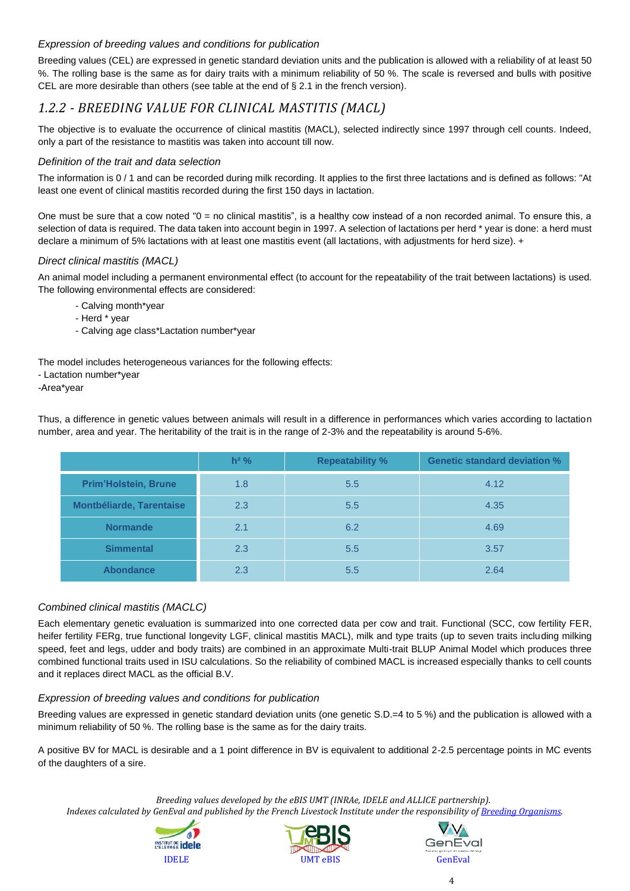#### *Expression of breeding values and conditions for publication*

Breeding values (CEL) are expressed in genetic standard deviation units and the publication is allowed with a reliability of at least 50 %. The rolling base is the same as for dairy traits with a minimum reliability of 50 %. The scale is reversed and bulls with positive CEL are more desirable than others (see table at the end of § 2.1 in the french version).

## <span id="page-3-0"></span>*1.2.2 - BREEDING VALUE FOR CLINICAL MASTITIS (MACL)*

The objective is to evaluate the occurrence of clinical mastitis (MACL), selected indirectly since 1997 through cell counts. Indeed, only a part of the resistance to mastitis was taken into account till now.

#### *Definition of the trait and data selection*

The information is 0 / 1 and can be recorded during milk recording. It applies to the first three lactations and is defined as follows: "At least one event of clinical mastitis recorded during the first 150 days in lactation.

One must be sure that a cow noted "0 = no clinical mastitis", is a healthy cow instead of a non recorded animal. To ensure this, a selection of data is required. The data taken into account begin in 1997. A selection of lactations per herd \* year is done: a herd must declare a minimum of 5% lactations with at least one mastitis event (all lactations, with adjustments for herd size). +

#### *Direct clinical mastitis (MACL)*

An animal model including a permanent environmental effect (to account for the repeatability of the trait between lactations) is used. The following environmental effects are considered:

- Calving month\*year
- Herd \* year
- Calving age class\*Lactation number\*year

The model includes heterogeneous variances for the following effects:

- Lactation number\*year
- -Area\*year

Thus, a difference in genetic values between animals will result in a difference in performances which varies according to lactation number, area and year. The heritability of the trait is in the range of 2-3% and the repeatability is around 5-6%.

|                                 | $h^2$ % | <b>Repeatability %</b> | <b>Genetic standard deviation %</b> |
|---------------------------------|---------|------------------------|-------------------------------------|
| <b>Prim'Holstein, Brune</b>     | 1.8     | 5.5                    | 4.12                                |
| <b>Montbéliarde, Tarentaise</b> | 2.3     | 5.5                    | 4.35                                |
| <b>Normande</b>                 | 2.1     | 6.2                    | 4.69                                |
| <b>Simmental</b>                | 2.3     | 5.5                    | 3.57                                |
| <b>Abondance</b>                | 2.3     | 5.5                    | 2.64                                |

#### *Combined clinical mastitis (MACLC)*

Each elementary genetic evaluation is summarized into one corrected data per cow and trait. Functional (SCC, cow fertility FER, heifer fertility FERg, true functional longevity LGF, clinical mastitis MACL), milk and type traits (up to seven traits including milking speed, feet and legs, udder and body traits) are combined in an approximate Multi-trait BLUP Animal Model which produces three combined functional traits used in ISU calculations. So the reliability of combined MACL is increased especially thanks to cell counts and it replaces direct MACL as the official B.V.

#### *Expression of breeding values and conditions for publication*

Breeding values are expressed in genetic standard deviation units (one genetic S.D.=4 to 5 %) and the publication is allowed with a minimum reliability of 50 %. The rolling base is the same as for the dairy traits.

A positive BV for MACL is desirable and a 1 point difference in BV is equivalent to additional 2-2.5 percentage points in MC events of the daughters of a sire.

*Breeding values developed by the eBIS UMT (INRAe, IDELE and ALLICE partnership).*





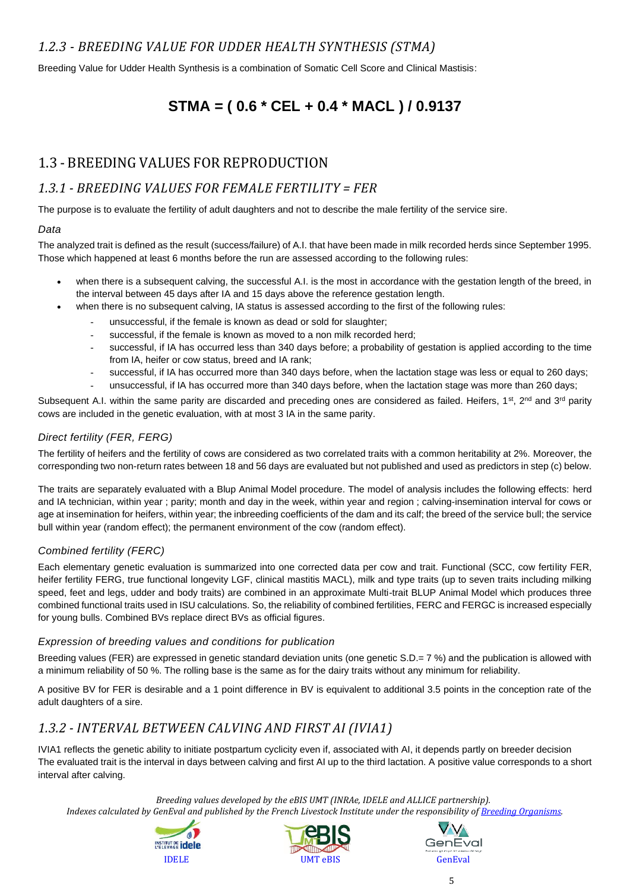## <span id="page-4-0"></span>*1.2.3 - BREEDING VALUE FOR UDDER HEALTH SYNTHESIS (STMA)*

Breeding Value for Udder Health Synthesis is a combination of Somatic Cell Score and Clinical Mastisis:

## **STMA = ( 0.6 \* CEL + 0.4 \* MACL ) / 0.9137**

## <span id="page-4-1"></span>1.3 - BREEDING VALUES FOR REPRODUCTION

## <span id="page-4-2"></span>*1.3.1 - BREEDING VALUES FOR FEMALE FERTILITY = FER*

The purpose is to evaluate the fertility of adult daughters and not to describe the male fertility of the service sire.

#### *Data*

The analyzed trait is defined as the result (success/failure) of A.I. that have been made in milk recorded herds since September 1995. Those which happened at least 6 months before the run are assessed according to the following rules:

- when there is a subsequent calving, the successful A.I. is the most in accordance with the gestation length of the breed, in the interval between 45 days after IA and 15 days above the reference gestation length.
- when there is no subsequent calving, IA status is assessed according to the first of the following rules:
	- unsuccessful, if the female is known as dead or sold for slaughter;
	- successful, if the female is known as moved to a non milk recorded herd;
	- successful, if IA has occurred less than 340 days before; a probability of gestation is applied according to the time from IA, heifer or cow status, breed and IA rank;
	- successful, if IA has occurred more than 340 days before, when the lactation stage was less or equal to 260 days;
	- unsuccessful, if IA has occurred more than 340 days before, when the lactation stage was more than 260 days;

Subsequent A.I. within the same parity are discarded and preceding ones are considered as failed. Heifers, 1<sup>st</sup>, 2<sup>nd</sup> and 3<sup>rd</sup> parity cows are included in the genetic evaluation, with at most 3 IA in the same parity.

#### *Direct fertility (FER, FERG)*

The fertility of heifers and the fertility of cows are considered as two correlated traits with a common heritability at 2%. Moreover, the corresponding two non-return rates between 18 and 56 days are evaluated but not published and used as predictors in step (c) below.

The traits are separately evaluated with a Blup Animal Model procedure. The model of analysis includes the following effects: herd and IA technician, within year ; parity; month and day in the week, within year and region ; calving-insemination interval for cows or age at insemination for heifers, within year; the inbreeding coefficients of the dam and its calf; the breed of the service bull; the service bull within year (random effect); the permanent environment of the cow (random effect).

#### *Combined fertility (FERC)*

Each elementary genetic evaluation is summarized into one corrected data per cow and trait. Functional (SCC, cow fertility FER, heifer fertility FERG, true functional longevity LGF, clinical mastitis MACL), milk and type traits (up to seven traits including milking speed, feet and legs, udder and body traits) are combined in an approximate Multi-trait BLUP Animal Model which produces three combined functional traits used in ISU calculations. So, the reliability of combined fertilities, FERC and FERGC is increased especially for young bulls. Combined BVs replace direct BVs as official figures.

#### *Expression of breeding values and conditions for publication*

Breeding values (FER) are expressed in genetic standard deviation units (one genetic S.D.= 7 %) and the publication is allowed with a minimum reliability of 50 %. The rolling base is the same as for the dairy traits without any minimum for reliability.

A positive BV for FER is desirable and a 1 point difference in BV is equivalent to additional 3.5 points in the conception rate of the adult daughters of a sire.

## <span id="page-4-3"></span>*1.3.2 - INTERVAL BETWEEN CALVING AND FIRST AI (IVIA1)*

IVIA1 reflects the genetic ability to initiate postpartum cyclicity even if, associated with AI, it depends partly on breeder decision The evaluated trait is the interval in days between calving and first AI up to the third lactation. A positive value corresponds to a short interval after calving.

*Breeding values developed by the eBIS UMT (INRAe, IDELE and ALLICE partnership).*





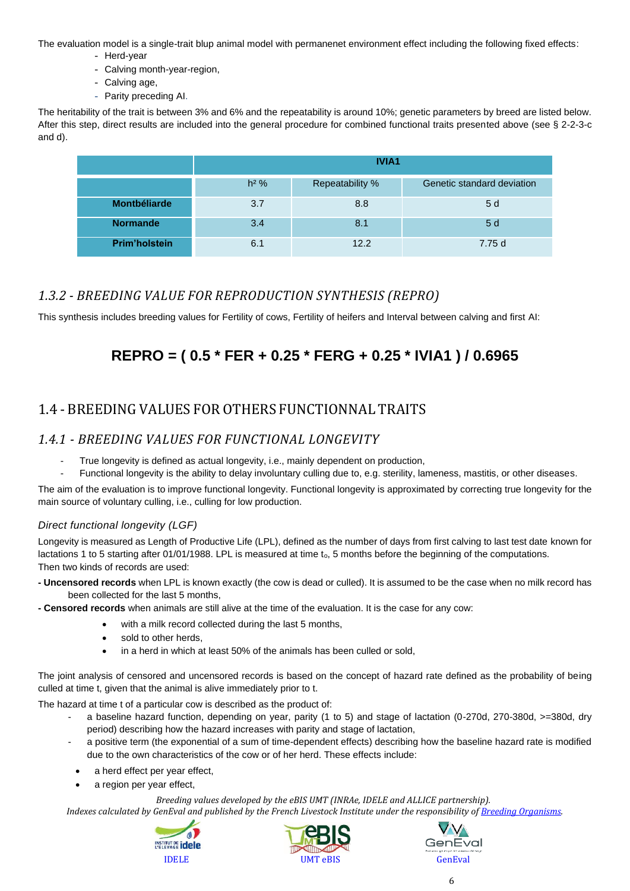The evaluation model is a single-trait blup animal model with permanenet environment effect including the following fixed effects:

- Herd-year
- Calving month-year-region,
- Calving age,
- Parity preceding AI.

The heritability of the trait is between 3% and 6% and the repeatability is around 10%; genetic parameters by breed are listed below. After this step, direct results are included into the general procedure for combined functional traits presented above (see § 2-2-3-c and d).

|                      | <b>IVIA1</b>                                            |      |        |  |  |  |  |
|----------------------|---------------------------------------------------------|------|--------|--|--|--|--|
|                      | $h2$ %<br>Repeatability %<br>Genetic standard deviation |      |        |  |  |  |  |
| <b>Montbéliarde</b>  | 3.7                                                     | 8.8  | 5 d    |  |  |  |  |
| <b>Normande</b>      | 3.4                                                     | 8.1  | 5d     |  |  |  |  |
| <b>Prim'holstein</b> | 6.1                                                     | 12.2 | 7.75 d |  |  |  |  |

## <span id="page-5-0"></span>*1.3.2 - BREEDING VALUE FOR REPRODUCTION SYNTHESIS (REPRO)*

This synthesis includes breeding values for Fertility of cows, Fertility of heifers and Interval between calving and first AI:

## **REPRO = ( 0.5 \* FER + 0.25 \* FERG + 0.25 \* IVIA1 ) / 0.6965**

## <span id="page-5-1"></span>1.4 - BREEDING VALUES FOR OTHERS FUNCTIONNAL TRAITS

## <span id="page-5-2"></span>*1.4.1 - BREEDING VALUES FOR FUNCTIONAL LONGEVITY*

- True longevity is defined as actual longevity, i.e., mainly dependent on production,
- Functional longevity is the ability to delay involuntary culling due to, e.g. sterility, lameness, mastitis, or other diseases.

The aim of the evaluation is to improve functional longevity. Functional longevity is approximated by correcting true longevity for the main source of voluntary culling, i.e., culling for low production.

#### *Direct functional longevity (LGF)*

Longevity is measured as Length of Productive Life (LPL), defined as the number of days from first calving to last test date known for lactations 1 to 5 starting after 01/01/1988. LPL is measured at time to, 5 months before the beginning of the computations. Then two kinds of records are used:

- **- Uncensored records** when LPL is known exactly (the cow is dead or culled). It is assumed to be the case when no milk record has been collected for the last 5 months,
- **- Censored records** when animals are still alive at the time of the evaluation. It is the case for any cow:
	- with a milk record collected during the last 5 months,
	- sold to other herds,
	- in a herd in which at least 50% of the animals has been culled or sold,

The joint analysis of censored and uncensored records is based on the concept of hazard rate defined as the probability of being culled at time t, given that the animal is alive immediately prior to t.

The hazard at time t of a particular cow is described as the product of:

- a baseline hazard function, depending on year, parity (1 to 5) and stage of lactation (0-270d, 270-380d, >=380d, dry period) describing how the hazard increases with parity and stage of lactation,
- a positive term (the exponential of a sum of time-dependent effects) describing how the baseline hazard rate is modified due to the own characteristics of the cow or of her herd. These effects include:
- a herd effect per year effect,
- a region per year effect,

*Breeding values developed by the eBIS UMT (INRAe, IDELE and ALLICE partnership).*





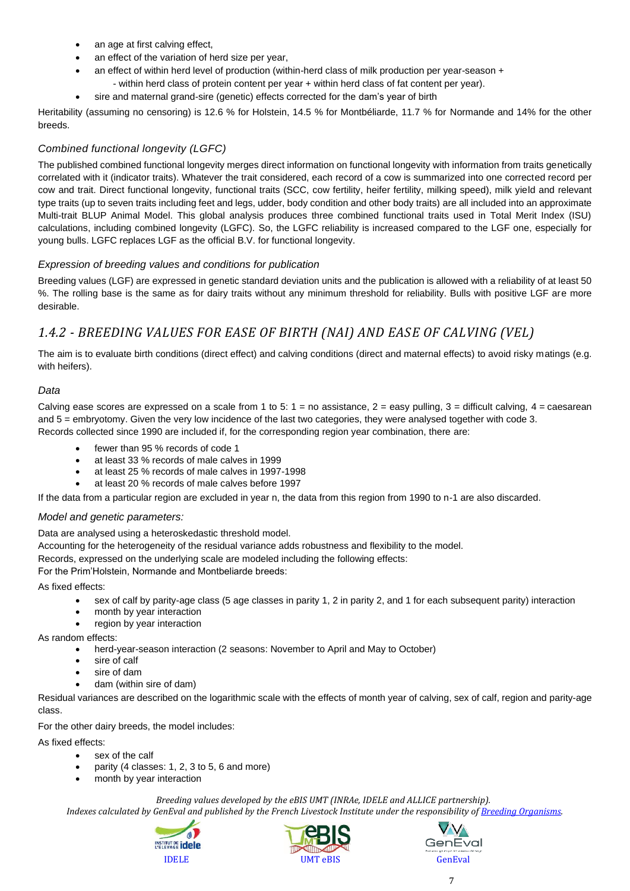- an age at first calving effect,
- an effect of the variation of herd size per year,
	- an effect of within herd level of production (within-herd class of milk production per year-season +
	- within herd class of protein content per year + within herd class of fat content per year).
- sire and maternal grand-sire (genetic) effects corrected for the dam's year of birth

Heritability (assuming no censoring) is 12.6 % for Holstein, 14.5 % for Montbéliarde, 11.7 % for Normande and 14% for the other breeds.

#### *Combined functional longevity (LGFC)*

The published combined functional longevity merges direct information on functional longevity with information from traits genetically correlated with it (indicator traits). Whatever the trait considered, each record of a cow is summarized into one corrected record per cow and trait. Direct functional longevity, functional traits (SCC, cow fertility, heifer fertility, milking speed), milk yield and relevant type traits (up to seven traits including feet and legs, udder, body condition and other body traits) are all included into an approximate Multi-trait BLUP Animal Model. This global analysis produces three combined functional traits used in Total Merit Index (ISU) calculations, including combined longevity (LGFC). So, the LGFC reliability is increased compared to the LGF one, especially for young bulls. LGFC replaces LGF as the official B.V. for functional longevity.

#### *Expression of breeding values and conditions for publication*

Breeding values (LGF) are expressed in genetic standard deviation units and the publication is allowed with a reliability of at least 50 %. The rolling base is the same as for dairy traits without any minimum threshold for reliability. Bulls with positive LGF are more desirable.

## <span id="page-6-0"></span>*1.4.2 - BREEDING VALUES FOR EASE OF BIRTH (NAI) AND EASE OF CALVING (VEL)*

The aim is to evaluate birth conditions (direct effect) and calving conditions (direct and maternal effects) to avoid risky matings (e.g. with heifers).

#### *Data*

Calving ease scores are expressed on a scale from 1 to 5:  $1 =$  no assistance,  $2 =$  easy pulling,  $3 =$  difficult calving,  $4 =$  caesarean and 5 = embryotomy. Given the very low incidence of the last two categories, they were analysed together with code 3. Records collected since 1990 are included if, for the corresponding region year combination, there are:

- fewer than 95 % records of code 1
- at least 33 % records of male calves in 1999
- at least 25 % records of male calves in 1997-1998
- at least 20 % records of male calves before 1997

If the data from a particular region are excluded in year n, the data from this region from 1990 to n-1 are also discarded.

#### *Model and genetic parameters:*

Data are analysed using a heteroskedastic threshold model.

Accounting for the heterogeneity of the residual variance adds robustness and flexibility to the model.

Records, expressed on the underlying scale are modeled including the following effects:

For the Prim'Holstein, Normande and Montbeliarde breeds:

As fixed effects:

- sex of calf by parity-age class (5 age classes in parity 1, 2 in parity 2, and 1 for each subsequent parity) interaction
- month by year interaction
- region by year interaction

As random effects:

- herd-year-season interaction (2 seasons: November to April and May to October)
- sire of calf
- sire of dam
- dam (within sire of dam)

Residual variances are described on the logarithmic scale with the effects of month year of calving, sex of calf, region and parity-age class.

For the other dairy breeds, the model includes:

As fixed effects:

- sex of the calf
- parity (4 classes: 1, 2, 3 to 5, 6 and more)
- month by year interaction

*Breeding values developed by the eBIS UMT (INRAe, IDELE and ALLICE partnership).*





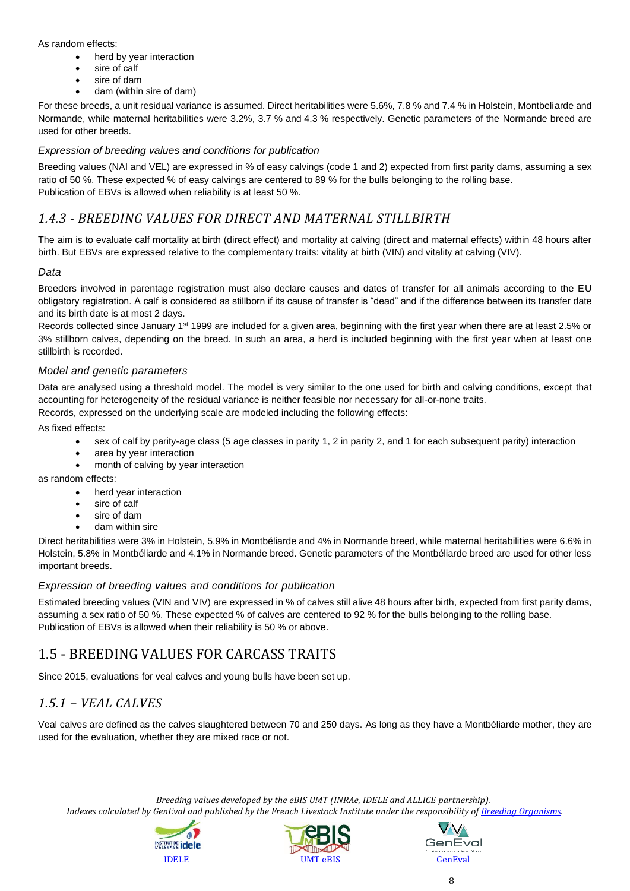#### As random effects:

- herd by year interaction
- sire of calf
- sire of dam
- dam (within sire of dam)

For these breeds, a unit residual variance is assumed. Direct heritabilities were 5.6%, 7.8 % and 7.4 % in Holstein, Montbeliarde and Normande, while maternal heritabilities were 3.2%, 3.7 % and 4.3 % respectively. Genetic parameters of the Normande breed are used for other breeds.

#### *Expression of breeding values and conditions for publication*

Breeding values (NAI and VEL) are expressed in % of easy calvings (code 1 and 2) expected from first parity dams, assuming a sex ratio of 50 %. These expected % of easy calvings are centered to 89 % for the bulls belonging to the rolling base. Publication of EBVs is allowed when reliability is at least 50 %.

### <span id="page-7-0"></span>*1.4.3 - BREEDING VALUES FOR DIRECT AND MATERNAL STILLBIRTH*

The aim is to evaluate calf mortality at birth (direct effect) and mortality at calving (direct and maternal effects) within 48 hours after birth. But EBVs are expressed relative to the complementary traits: vitality at birth (VIN) and vitality at calving (VIV).

#### *Data*

Breeders involved in parentage registration must also declare causes and dates of transfer for all animals according to the EU obligatory registration. A calf is considered as stillborn if its cause of transfer is "dead" and if the difference between its transfer date and its birth date is at most 2 days.

Records collected since January 1<sup>st</sup> 1999 are included for a given area, beginning with the first year when there are at least 2.5% or 3% stillborn calves, depending on the breed. In such an area, a herd is included beginning with the first year when at least one stillbirth is recorded.

#### *Model and genetic parameters*

Data are analysed using a threshold model. The model is very similar to the one used for birth and calving conditions, except that accounting for heterogeneity of the residual variance is neither feasible nor necessary for all-or-none traits.

Records, expressed on the underlying scale are modeled including the following effects:

As fixed effects:

- sex of calf by parity-age class (5 age classes in parity 1, 2 in parity 2, and 1 for each subsequent parity) interaction
- area by year interaction
- month of calving by year interaction

as random effects:

- herd year interaction
- sire of calf
- sire of dam
- dam within sire

Direct heritabilities were 3% in Holstein, 5.9% in Montbéliarde and 4% in Normande breed, while maternal heritabilities were 6.6% in Holstein, 5.8% in Montbéliarde and 4.1% in Normande breed. Genetic parameters of the Montbéliarde breed are used for other less important breeds.

#### *Expression of breeding values and conditions for publication*

Estimated breeding values (VIN and VIV) are expressed in % of calves still alive 48 hours after birth, expected from first parity dams, assuming a sex ratio of 50 %. These expected % of calves are centered to 92 % for the bulls belonging to the rolling base. Publication of EBVs is allowed when their reliability is 50 % or above.

## <span id="page-7-1"></span>1.5 - BREEDING VALUES FOR CARCASS TRAITS

Since 2015, evaluations for veal calves and young bulls have been set up.

## <span id="page-7-2"></span>*1.5.1 – VEAL CALVES*

Veal calves are defined as the calves slaughtered between 70 and 250 days. As long as they have a Montbéliarde mother, they are used for the evaluation, whether they are mixed race or not.

*Breeding values developed by the eBIS UMT (INRAe, IDELE and ALLICE partnership).*





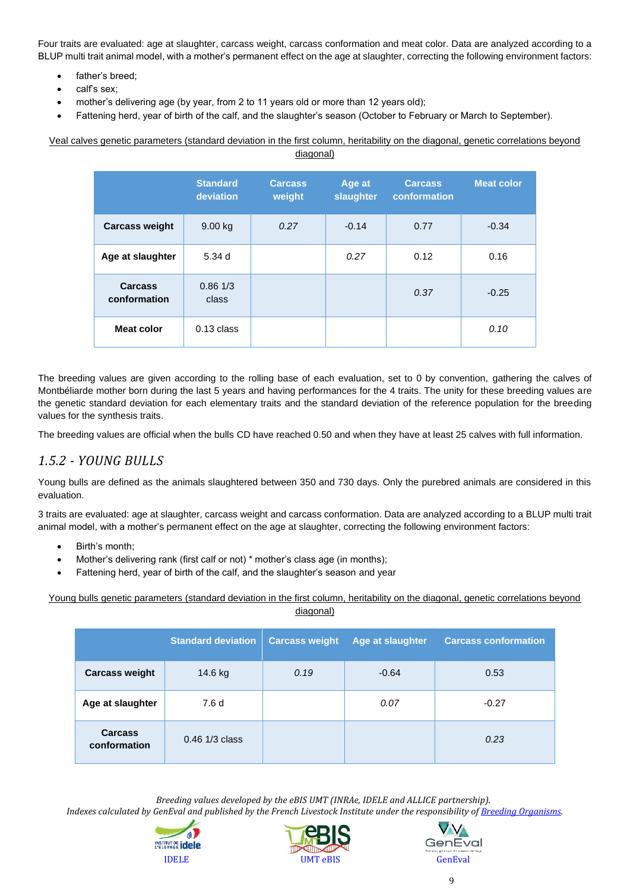Four traits are evaluated: age at slaughter, carcass weight, carcass conformation and meat color. Data are analyzed according to a BLUP multi trait animal model, with a mother's permanent effect on the age at slaughter, correcting the following environment factors:

- father's breed;
- calf's sex;
- mother's delivering age (by year, from 2 to 11 years old or more than 12 years old);
- Fattening herd, year of birth of the calf, and the slaughter's season (October to February or March to September).

Veal calves genetic parameters (standard deviation in the first column, heritability on the diagonal, genetic correlations beyond diagonal)

|                                | <b>Standard</b><br>deviation | <b>Carcass</b><br>weight | Age at<br>slaughter | <b>Carcass</b><br>conformation | <b>Meat color</b> |
|--------------------------------|------------------------------|--------------------------|---------------------|--------------------------------|-------------------|
| <b>Carcass weight</b>          | 9.00 kg                      | 0.27                     | $-0.14$             | 0.77                           | $-0.34$           |
| Age at slaughter               | 5.34d                        |                          | 0.27                | 0.12                           | 0.16              |
| <b>Carcass</b><br>conformation | 0.861/3<br>class             |                          |                     | 0.37                           | $-0.25$           |
| <b>Meat color</b>              | $0.13$ class                 |                          |                     |                                | 0.10              |

The breeding values are given according to the rolling base of each evaluation, set to 0 by convention, gathering the calves of Montbéliarde mother born during the last 5 years and having performances for the 4 traits. The unity for these breeding values are the genetic standard deviation for each elementary traits and the standard deviation of the reference population for the breeding values for the synthesis traits.

The breeding values are official when the bulls CD have reached 0.50 and when they have at least 25 calves with full information.

## <span id="page-8-0"></span>*1.5.2 - YOUNG BULLS*

Young bulls are defined as the animals slaughtered between 350 and 730 days. Only the purebred animals are considered in this evaluation.

3 traits are evaluated: age at slaughter, carcass weight and carcass conformation. Data are analyzed according to a BLUP multi trait animal model, with a mother's permanent effect on the age at slaughter, correcting the following environment factors:

- Birth's month;
- Mother's delivering rank (first calf or not) \* mother's class age (in months);
- Fattening herd, year of birth of the calf, and the slaughter's season and year

Young bulls genetic parameters (standard deviation in the first column, heritability on the diagonal, genetic correlations beyond diagonal)

|                                | <b>Standard deviation</b> | <b>Carcass weight</b> | <b>Age at slaughter</b> | <b>Carcass conformation</b> |
|--------------------------------|---------------------------|-----------------------|-------------------------|-----------------------------|
| <b>Carcass weight</b>          | 14.6 kg                   | 0.19                  | $-0.64$                 | 0.53                        |
| Age at slaughter               | 7.6 d                     |                       | 0.07                    | $-0.27$                     |
| <b>Carcass</b><br>conformation | $0.46$ 1/3 class          |                       |                         | 0.23                        |

*Breeding values developed by the eBIS UMT (INRAe, IDELE and ALLICE partnership).*





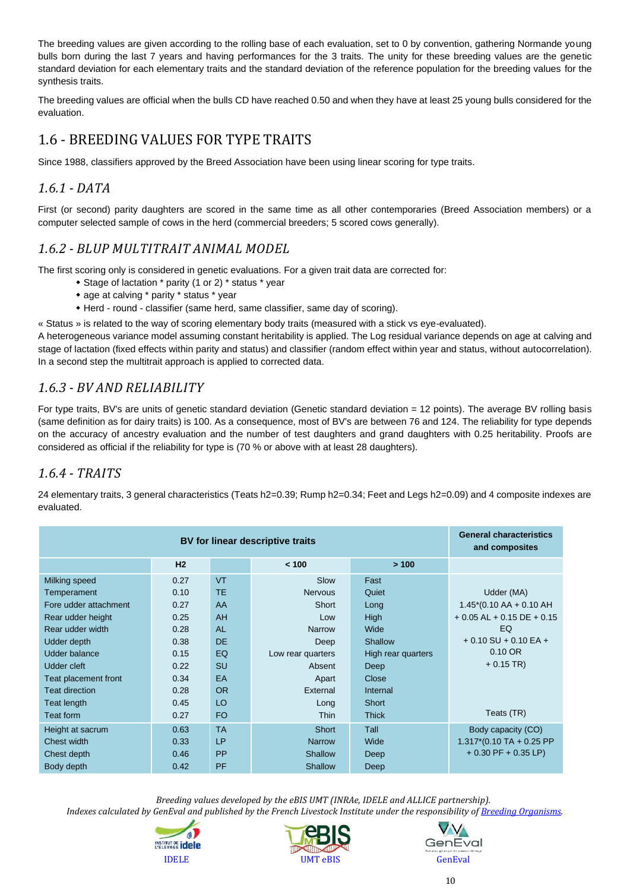The breeding values are given according to the rolling base of each evaluation, set to 0 by convention, gathering Normande young bulls born during the last 7 years and having performances for the 3 traits. The unity for these breeding values are the genetic standard deviation for each elementary traits and the standard deviation of the reference population for the breeding values for the synthesis traits.

The breeding values are official when the bulls CD have reached 0.50 and when they have at least 25 young bulls considered for the evaluation.

## <span id="page-9-0"></span>1.6 - BREEDING VALUES FOR TYPE TRAITS

Since 1988, classifiers approved by the Breed Association have been using linear scoring for type traits.

### <span id="page-9-1"></span>*1.6.1 - DATA*

First (or second) parity daughters are scored in the same time as all other contemporaries (Breed Association members) or a computer selected sample of cows in the herd (commercial breeders; 5 scored cows generally).

### <span id="page-9-2"></span>*1.6.2 - BLUP MULTITRAIT ANIMAL MODEL*

The first scoring only is considered in genetic evaluations. For a given trait data are corrected for:

- Stage of lactation \* parity (1 or 2) \* status \* year
- age at calving \* parity \* status \* year
- Herd round classifier (same herd, same classifier, same day of scoring).

« Status » is related to the way of scoring elementary body traits (measured with a stick vs eye-evaluated).

A heterogeneous variance model assuming constant heritability is applied. The Log residual variance depends on age at calving and stage of lactation (fixed effects within parity and status) and classifier (random effect within year and status, without autocorrelation). In a second step the multitrait approach is applied to corrected data.

## <span id="page-9-3"></span>*1.6.3 - BV AND RELIABILITY*

For type traits, BV's are units of genetic standard deviation (Genetic standard deviation = 12 points). The average BV rolling basis (same definition as for dairy traits) is 100. As a consequence, most of BV's are between 76 and 124. The reliability for type depends on the accuracy of ancestry evaluation and the number of test daughters and grand daughters with 0.25 heritability. Proofs are considered as official if the reliability for type is (70 % or above with at least 28 daughters).

## <span id="page-9-4"></span>*1.6.4 - TRAITS*

24 elementary traits, 3 general characteristics (Teats h2=0.39; Rump h2=0.34; Feet and Legs h2=0.09) and 4 composite indexes are evaluated.

|                       | <b>General characteristics</b><br>and composites |           |                   |                    |                                            |
|-----------------------|--------------------------------------------------|-----------|-------------------|--------------------|--------------------------------------------|
|                       | H2                                               |           | < 100             | >100               |                                            |
| Milking speed         | 0.27                                             | <b>VT</b> | Slow              | Fast               |                                            |
| Temperament           | 0.10                                             | TE.       | <b>Nervous</b>    | Quiet              | Udder (MA)                                 |
| Fore udder attachment | 0.27                                             | AA        | Short             | Long               | $1.45*(0.10 \text{ AA} + 0.10 \text{ AH})$ |
| Rear udder height     | 0.25                                             | AH        | $\log$            | <b>High</b>        | $+0.05$ AL $+0.15$ DE $+0.15$              |
| Rear udder width      | 0.28                                             | <b>AL</b> | Narrow            | Wide               | EQ                                         |
| Udder depth           | 0.38                                             | <b>DE</b> | Deep              | Shallow            | $+0.10$ SU $+0.10$ EA $+$                  |
| Udder balance         | 0.15                                             | EQ        | Low rear quarters | High rear quarters | $0.10$ OR                                  |
| Udder cleft           | 0.22                                             | <b>SU</b> | Absent            | Deep               | $+0.15$ TR)                                |
| Teat placement front  | 0.34                                             | EA        | Apart             | Close              |                                            |
| <b>Teat direction</b> | 0.28                                             | <b>OR</b> | External          | Internal           |                                            |
| Teat length           | 0.45                                             | LO        | Long              | Short              |                                            |
| Teat form             | 0.27                                             | FO.       | <b>Thin</b>       | <b>Thick</b>       | Teats (TR)                                 |
| Height at sacrum      | 0.63                                             | <b>TA</b> | Short             | Tall               | Body capacity (CO)                         |
| Chest width           | 0.33                                             | P         | <b>Narrow</b>     | Wide               | $1.317*(0.10 TA + 0.25 PP$                 |
| Chest depth           | 0.46                                             | <b>PP</b> | Shallow           | Deep               | $+0.30$ PF $+0.35$ LP)                     |
| Body depth            | 0.42                                             | <b>PF</b> | Shallow           | Deep               |                                            |

 *Breeding values developed by the eBIS UMT (INRAe, IDELE and ALLICE partnership). Indexes calculated by GenEval and published by the French Livestock Institute under the responsibility o[f Breeding](https://www.geneval.fr/os-races-bovines) Organisms.*





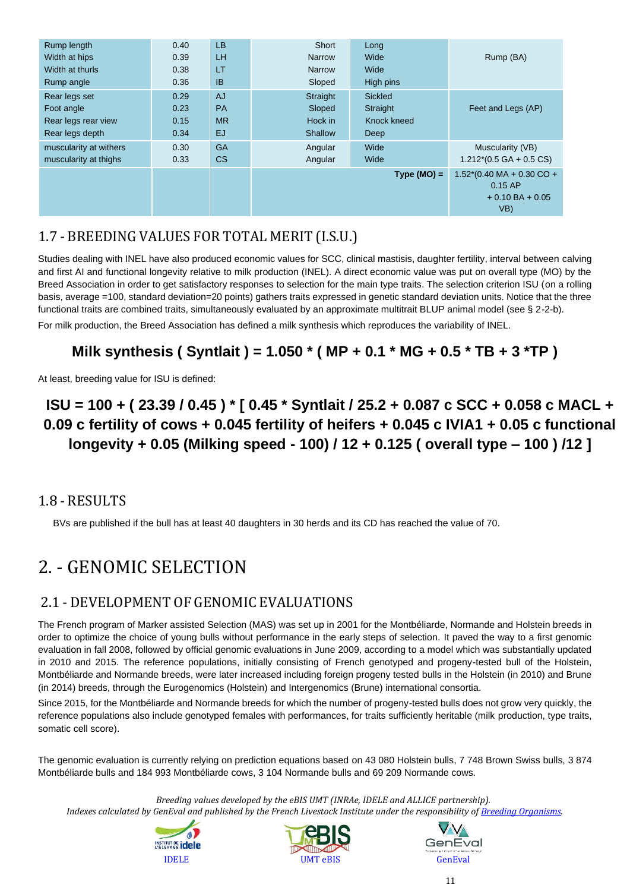| Rump length            | 0.40 | <b>LB</b> | Short         | Long           |                                                                                     |
|------------------------|------|-----------|---------------|----------------|-------------------------------------------------------------------------------------|
| Width at hips          | 0.39 | LH.       | <b>Narrow</b> | Wide           | Rump (BA)                                                                           |
| Width at thurls        | 0.38 | LT        | <b>Narrow</b> | Wide           |                                                                                     |
| Rump angle             | 0.36 | <b>IB</b> | Sloped        | High pins      |                                                                                     |
| Rear legs set          | 0.29 | <b>AJ</b> | Straight      | <b>Sickled</b> |                                                                                     |
| Foot angle             | 0.23 | <b>PA</b> | Sloped        | Straight       | Feet and Legs (AP)                                                                  |
| Rear legs rear view    | 0.15 | <b>MR</b> | Hock in       | Knock kneed    |                                                                                     |
| Rear legs depth        | 0.34 | <b>EJ</b> | Shallow       | Deep           |                                                                                     |
| muscularity at withers | 0.30 | <b>GA</b> | Angular       | Wide           | Muscularity (VB)                                                                    |
| muscularity at thighs  | 0.33 | CS        | Angular       | Wide           | $1.212*(0.5 GAA + 0.5 CS)$                                                          |
|                        |      |           |               | $Type (MO) =$  | $1.52*(0.40 \text{ MA} + 0.30 \text{ CO} +$<br>$0.15$ AP<br>$+0.10BA + 0.05$<br>VB) |

## <span id="page-10-0"></span>1.7 - BREEDING VALUES FOR TOTAL MERIT (I.S.U.)

Studies dealing with INEL have also produced economic values for SCC, clinical mastisis, daughter fertility, interval between calving and first AI and functional longevity relative to milk production (INEL). A direct economic value was put on overall type (MO) by the Breed Association in order to get satisfactory responses to selection for the main type traits. The selection criterion ISU (on a rolling basis, average =100, standard deviation=20 points) gathers traits expressed in genetic standard deviation units. Notice that the three functional traits are combined traits, simultaneously evaluated by an approximate multitrait BLUP animal model (see § 2-2-b).

For milk production, the Breed Association has defined a milk synthesis which reproduces the variability of INEL.

## **Milk synthesis ( Syntlait ) = 1.050 \* ( MP + 0.1 \* MG + 0.5 \* TB + 3 \*TP )**

At least, breeding value for ISU is defined:

## **ISU = 100 + ( 23.39 / 0.45 ) \* [ 0.45 \* Syntlait / 25.2 + 0.087 c SCC + 0.058 c MACL + 0.09 c fertility of cows + 0.045 fertility of heifers + 0.045 c IVIA1 + 0.05 c functional longevity + 0.05 (Milking speed - 100) / 12 + 0.125 ( overall type – 100 ) /12 ]**

## <span id="page-10-1"></span>1.8 - RESULTS

BVs are published if the bull has at least 40 daughters in 30 herds and its CD has reached the value of 70.

# <span id="page-10-2"></span>2. - GENOMIC SELECTION

## <span id="page-10-3"></span>2.1 - DEVELOPMENT OF GENOMIC EVALUATIONS

The French program of Marker assisted Selection (MAS) was set up in 2001 for the Montbéliarde, Normande and Holstein breeds in order to optimize the choice of young bulls without performance in the early steps of selection. It paved the way to a first genomic evaluation in fall 2008, followed by official genomic evaluations in June 2009, according to a model which was substantially updated in 2010 and 2015. The reference populations, initially consisting of French genotyped and progeny-tested bull of the Holstein, Montbéliarde and Normande breeds, were later increased including foreign progeny tested bulls in the Holstein (in 2010) and Brune (in 2014) breeds, through the Eurogenomics (Holstein) and Intergenomics (Brune) international consortia.

Since 2015, for the Montbéliarde and Normande breeds for which the number of progeny-tested bulls does not grow very quickly, the reference populations also include genotyped females with performances, for traits sufficiently heritable (milk production, type traits, somatic cell score).

The genomic evaluation is currently relying on prediction equations based on 43 080 Holstein bulls, 7 748 Brown Swiss bulls, 3 874 Montbéliarde bulls and 184 993 Montbéliarde cows, 3 104 Normande bulls and 69 209 Normande cows.

*Breeding values developed by the eBIS UMT (INRAe, IDELE and ALLICE partnership).*





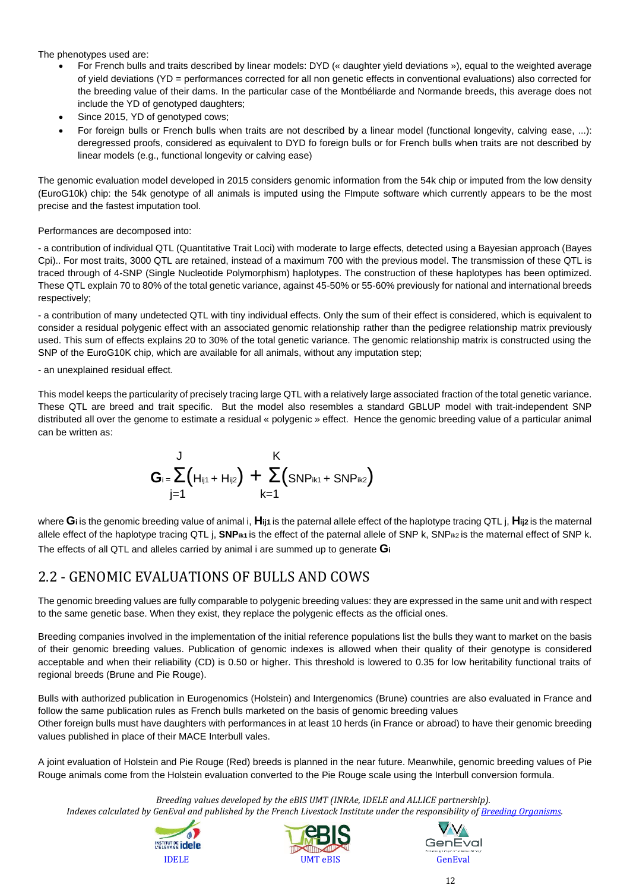The phenotypes used are:

- For French bulls and traits described by linear models: DYD (« daughter yield deviations »), equal to the weighted average of yield deviations (YD = performances corrected for all non genetic effects in conventional evaluations) also corrected for the breeding value of their dams. In the particular case of the Montbéliarde and Normande breeds, this average does not include the YD of genotyped daughters;
- Since 2015, YD of genotyped cows;
- For foreign bulls or French bulls when traits are not described by a linear model (functional longevity, calving ease, ...): deregressed proofs, considered as equivalent to DYD fo foreign bulls or for French bulls when traits are not described by linear models (e.g., functional longevity or calving ease)

The genomic evaluation model developed in 2015 considers genomic information from the 54k chip or imputed from the low density (EuroG10k) chip: the 54k genotype of all animals is imputed using the FImpute software which currently appears to be the most precise and the fastest imputation tool.

#### Performances are decomposed into:

- a contribution of individual QTL (Quantitative Trait Loci) with moderate to large effects, detected using a Bayesian approach (Bayes Cpi).. For most traits, 3000 QTL are retained, instead of a maximum 700 with the previous model. The transmission of these QTL is traced through of 4-SNP (Single Nucleotide Polymorphism) haplotypes. The construction of these haplotypes has been optimized. These QTL explain 70 to 80% of the total genetic variance, against 45-50% or 55-60% previously for national and international breeds respectively;

- a contribution of many undetected QTL with tiny individual effects. Only the sum of their effect is considered, which is equivalent to consider a residual polygenic effect with an associated genomic relationship rather than the pedigree relationship matrix previously used. This sum of effects explains 20 to 30% of the total genetic variance. The genomic relationship matrix is constructed using the SNP of the EuroG10K chip, which are available for all animals, without any imputation step;

- an unexplained residual effect.

This model keeps the particularity of precisely tracing large QTL with a relatively large associated fraction of the total genetic variance. These QTL are breed and trait specific. But the model also resembles a standard GBLUP model with trait-independent SNP distributed all over the genome to estimate a residual « polygenic » effect. Hence the genomic breeding value of a particular animal can be written as:

$$
G_{i} = \sum_{j=1}^{J} (H_{i j 1} + H_{i j 2}) + \sum_{k=1}^{K} (S N P_{i k 1} + S N P_{i k 2})
$$

where **Gi** is the genomic breeding value of animal i, **Hij1** is the paternal allele effect of the haplotype tracing QTL j, **Hij2** is the maternal allele effect of the haplotype tracing QTL j, SNP<sub>ik1</sub> is the effect of the paternal allele of SNP k, SNP<sub>ik2</sub> is the maternal effect of SNP k. The effects of all QTL and alleles carried by animal i are summed up to generate **G<sup>i</sup>**

## 2.2 - GENOMIC EVALUATIONS OF BULLS AND COWS

The genomic breeding values are fully comparable to polygenic breeding values: they are expressed in the same unit and with respect to the same genetic base. When they exist, they replace the polygenic effects as the official ones.

Breeding companies involved in the implementation of the initial reference populations list the bulls they want to market on the basis of their genomic breeding values. Publication of genomic indexes is allowed when their quality of their genotype is considered acceptable and when their reliability (CD) is 0.50 or higher. This threshold is lowered to 0.35 for low heritability functional traits of regional breeds (Brune and Pie Rouge).

Bulls with authorized publication in Eurogenomics (Holstein) and Intergenomics (Brune) countries are also evaluated in France and follow the same publication rules as French bulls marketed on the basis of genomic breeding values

Other foreign bulls must have daughters with performances in at least 10 herds (in France or abroad) to have their genomic breeding values published in place of their MACE Interbull vales.

A joint evaluation of Holstein and Pie Rouge (Red) breeds is planned in the near future. Meanwhile, genomic breeding values of Pie Rouge animals come from the Holstein evaluation converted to the Pie Rouge scale using the Interbull conversion formula.

*Breeding values developed by the eBIS UMT (INRAe, IDELE and ALLICE partnership).*





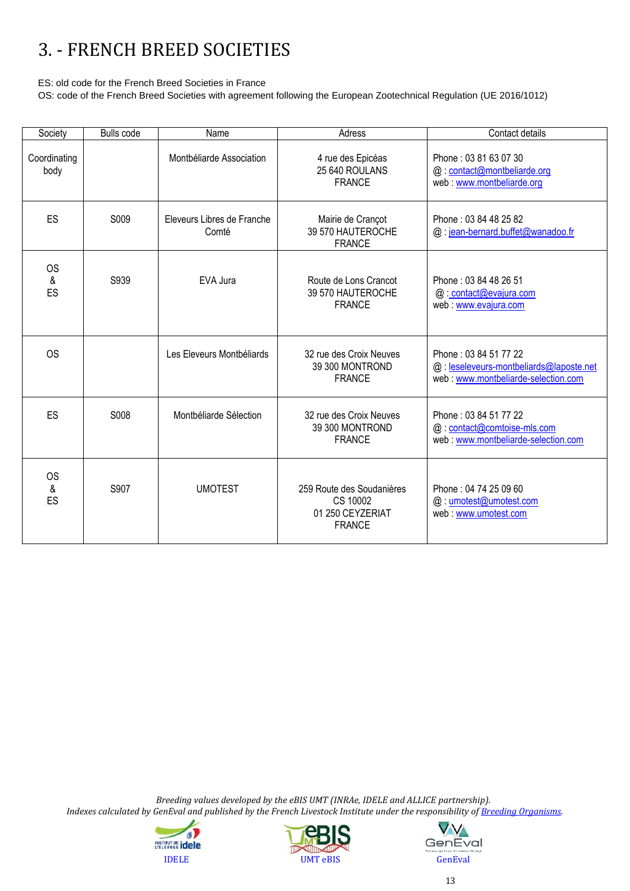# <span id="page-12-0"></span>3. - FRENCH BREED SOCIETIES

ES: old code for the French Breed Societies in France

OS: code of the French Breed Societies with agreement following the European Zootechnical Regulation (UE 2016/1012)

| Society              | <b>Bulls code</b> | Name                                | Adress                                                                     | Contact details                                                                                         |
|----------------------|-------------------|-------------------------------------|----------------------------------------------------------------------------|---------------------------------------------------------------------------------------------------------|
| Coordinating<br>body |                   | Montbéliarde Association            | 4 rue des Epicéas<br>25 640 ROULANS<br><b>FRANCE</b>                       | Phone: 03 81 63 07 30<br>@: contact@montbeliarde.org<br>web: www.montbeliarde.org                       |
| ES                   | S009              | Eleveurs Libres de Franche<br>Comté | Mairie de Crançot<br>39 570 HAUTEROCHE<br><b>FRANCE</b>                    | Phone: 03 84 48 25 82<br>@: jean-bernard.buffet@wanadoo.fr                                              |
| <b>OS</b><br>&<br>ES | S939              | EVA Jura                            | Route de Lons Crancot<br>39 570 HAUTEROCHE<br><b>FRANCE</b>                | Phone: 03 84 48 26 51<br>@: contact@evajura.com<br>web: www.evajura.com                                 |
| <b>OS</b>            |                   | Les Eleveurs Montbéliards           | 32 rue des Croix Neuves<br>39 300 MONTROND<br><b>FRANCE</b>                | Phone: 03 84 51 77 22<br>@: leseleveurs-montbeliards@laposte.net<br>web: www.montbeliarde-selection.com |
| ES                   | S008              | Montbéliarde Sélection              | 32 rue des Croix Neuves<br>39 300 MONTROND<br><b>FRANCE</b>                | Phone: 03 84 51 77 22<br>@: contact@comtoise-mls.com<br>web: www.montbeliarde-selection.com             |
| <b>OS</b><br>&<br>ES | S907              | <b>UMOTEST</b>                      | 259 Route des Soudanières<br>CS 10002<br>01 250 CEYZERIAT<br><b>FRANCE</b> | Phone: 04 74 25 09 60<br>@: umotest@umotest.com<br>web: www.umotest.com                                 |

 *Breeding values developed by the eBIS UMT (INRAe, IDELE and ALLICE partnership). Indexes calculated by GenEval and published by the French Livestock Institute under the responsibility o[f Breeding](https://www.geneval.fr/os-races-bovines) Organisms.*





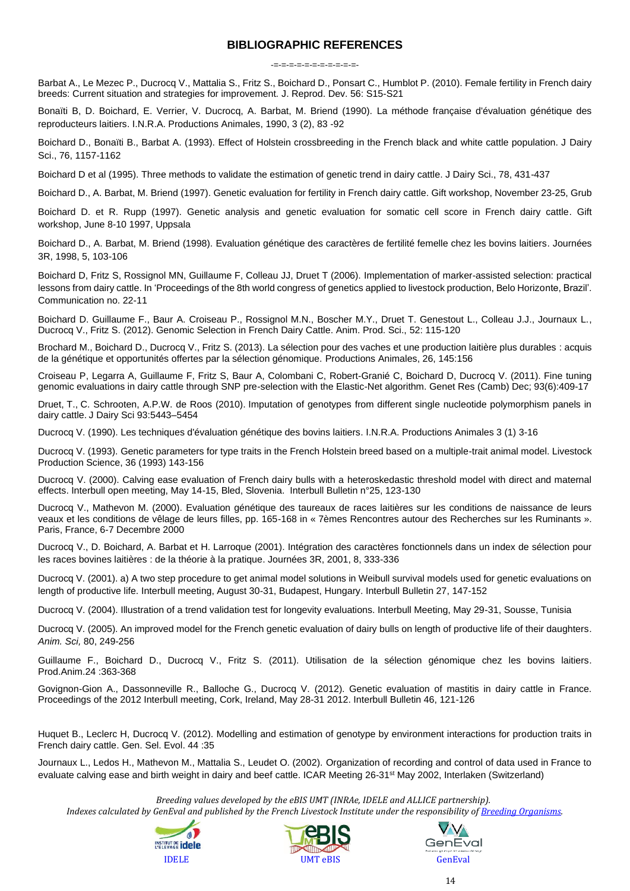#### **BIBLIOGRAPHIC REFERENCES**

-=-=-=-=-=-=-=-=-=-=-=-

Barbat A., Le Mezec P., Ducrocq V., Mattalia S., Fritz S., Boichard D., Ponsart C., Humblot P. (2010). Female fertility in French dairy breeds: Current situation and strategies for improvement*.* J. Reprod. Dev. 56: S15-S21

Bonaïti B, D. Boichard, E. Verrier, V. Ducrocq, A. Barbat, M. Briend (1990). La méthode française d'évaluation génétique des reproducteurs laitiers. I.N.R.A. Productions Animales, 1990, 3 (2), 83 -92

Boichard D., Bonaïti B., Barbat A. (1993). Effect of Holstein crossbreeding in the French black and white cattle population. J Dairy Sci., 76, 1157-1162

Boichard D et al (1995). Three methods to validate the estimation of genetic trend in dairy cattle. J Dairy Sci., 78, 431-437

Boichard D., A. Barbat, M. Briend (1997). Genetic evaluation for fertility in French dairy cattle. Gift workshop, November 23-25, Grub

Boichard D. et R. Rupp (1997). Genetic analysis and genetic evaluation for somatic cell score in French dairy cattle. Gift workshop, June 8-10 1997, Uppsala

Boichard D., A. Barbat, M. Briend (1998). Evaluation génétique des caractères de fertilité femelle chez les bovins laitiers. Journées 3R, 1998, 5, 103-106

Boichard D, Fritz S, Rossignol MN, Guillaume F, Colleau JJ, Druet T (2006). Implementation of marker-assisted selection: practical lessons from dairy cattle. In 'Proceedings of the 8th world congress of genetics applied to livestock production, Belo Horizonte, Brazil'. Communication no. 22-11

Boichard D. Guillaume F., Baur A. Croiseau P., Rossignol M.N., Boscher M.Y., Druet T. Genestout L., Colleau J.J., Journaux L., Ducrocq V., Fritz S. (2012). Genomic Selection in French Dairy Cattle. Anim. Prod. Sci., 52: 115-120

Brochard M., Boichard D., Ducrocq V., Fritz S. (2013). La sélection pour des vaches et une production laitière plus durables : acquis de la génétique et opportunités offertes par la sélection génomique. Productions Animales, 26, 145:156

[Croiseau P,](http://www.ncbi.nlm.nih.gov/pubmed?term=Croiseau%20P%5BAuthor%5D&cauthor=true&cauthor_uid=22189606) [Legarra A,](http://www.ncbi.nlm.nih.gov/pubmed?term=Legarra%20A%5BAuthor%5D&cauthor=true&cauthor_uid=22189606) [Guillaume F,](http://www.ncbi.nlm.nih.gov/pubmed?term=Guillaume%20F%5BAuthor%5D&cauthor=true&cauthor_uid=22189606) [Fritz S,](http://www.ncbi.nlm.nih.gov/pubmed?term=Fritz%20S%5BAuthor%5D&cauthor=true&cauthor_uid=22189606) [Baur A,](http://www.ncbi.nlm.nih.gov/pubmed?term=Baur%20A%5BAuthor%5D&cauthor=true&cauthor_uid=22189606) [Colombani C,](http://www.ncbi.nlm.nih.gov/pubmed?term=Colombani%20C%5BAuthor%5D&cauthor=true&cauthor_uid=22189606) [Robert-Granié C,](http://www.ncbi.nlm.nih.gov/pubmed?term=Robert-Grani%C3%A9%20C%5BAuthor%5D&cauthor=true&cauthor_uid=22189606) [Boichard D,](http://www.ncbi.nlm.nih.gov/pubmed?term=Boichard%20D%5BAuthor%5D&cauthor=true&cauthor_uid=22189606) [Ducrocq V.](http://www.ncbi.nlm.nih.gov/pubmed?term=Ducrocq%20V%5BAuthor%5D&cauthor=true&cauthor_uid=22189606) (2011). Fine tuning genomic evaluations in dairy cattle through SNP pre-selection with the Elastic-Net algorithm. [Genet Res \(Camb\)](http://www.ncbi.nlm.nih.gov/pubmed/22189606) Dec; 93(6):409-17

Druet, T., C. Schrooten, A.P.W. de Roos (2010). Imputation of genotypes from different single nucleotide polymorphism panels in dairy cattle. J Dairy Sci 93:5443–5454

Ducrocq V. (1990). Les techniques d'évaluation génétique des bovins laitiers. I.N.R.A. Productions Animales 3 (1) 3-16

Ducrocq V. (1993). Genetic parameters for type traits in the French Holstein breed based on a multiple-trait animal model. Livestock Production Science, 36 (1993) 143-156

Ducrocq V. (2000). Calving ease evaluation of French dairy bulls with a heteroskedastic threshold model with direct and maternal effects. Interbull open meeting, May 14-15, Bled, Slovenia. Interbull Bulletin n°25, 123-130

Ducrocq V., Mathevon M. (2000). Evaluation génétique des taureaux de races laitières sur les conditions de naissance de leurs veaux et les conditions de vêlage de leurs filles, pp. 165-168 in « 7èmes Rencontres autour des Recherches sur les Ruminants ». Paris, France, 6-7 Decembre 2000

Ducrocq V., D. Boichard, A. Barbat et H. Larroque (2001). Intégration des caractères fonctionnels dans un index de sélection pour les races bovines laitières : de la théorie à la pratique. Journées 3R, 2001, 8, 333-336

Ducrocq V. (2001). a) A two step procedure to get animal model solutions in Weibull survival models used for genetic evaluations on length of productive life. Interbull meeting, August 30-31, Budapest, Hungary. Interbull Bulletin 27, 147-152

Ducrocq V. (2004). Illustration of a trend validation test for longevity evaluations. Interbull Meeting, May 29-31, Sousse, Tunisia

Ducrocq V. (2005). An improved model for the French genetic evaluation of dairy bulls on length of productive life of their daughters. *Anim. Sci,* 80, 249-256

Guillaume F., Boichard D., Ducrocq V., Fritz S. (2011). Utilisation de la sélection génomique chez les bovins laitiers. Prod.Anim.24 :363-368

Govignon-Gion A., Dassonneville R., Balloche G., Ducrocq V. (2012). Genetic evaluation of mastitis in dairy cattle in France. Proceedings of the 2012 Interbull meeting, Cork, Ireland, May 28-31 2012. Interbull Bulletin 46, 121-126

Huquet B., Leclerc H, Ducrocq V. (2012). Modelling and estimation of genotype by environment interactions for production traits in French dairy cattle. Gen. Sel. Evol. 44 :35

Journaux L., Ledos H., Mathevon M., Mattalia S., Leudet O. (2002). Organization of recording and control of data used in France to evaluate calving ease and birth weight in dairy and beef cattle. ICAR Meeting 26-31<sup>st</sup> May 2002, Interlaken (Switzerland)

*Breeding values developed by the eBIS UMT (INRAe, IDELE and ALLICE partnership).*